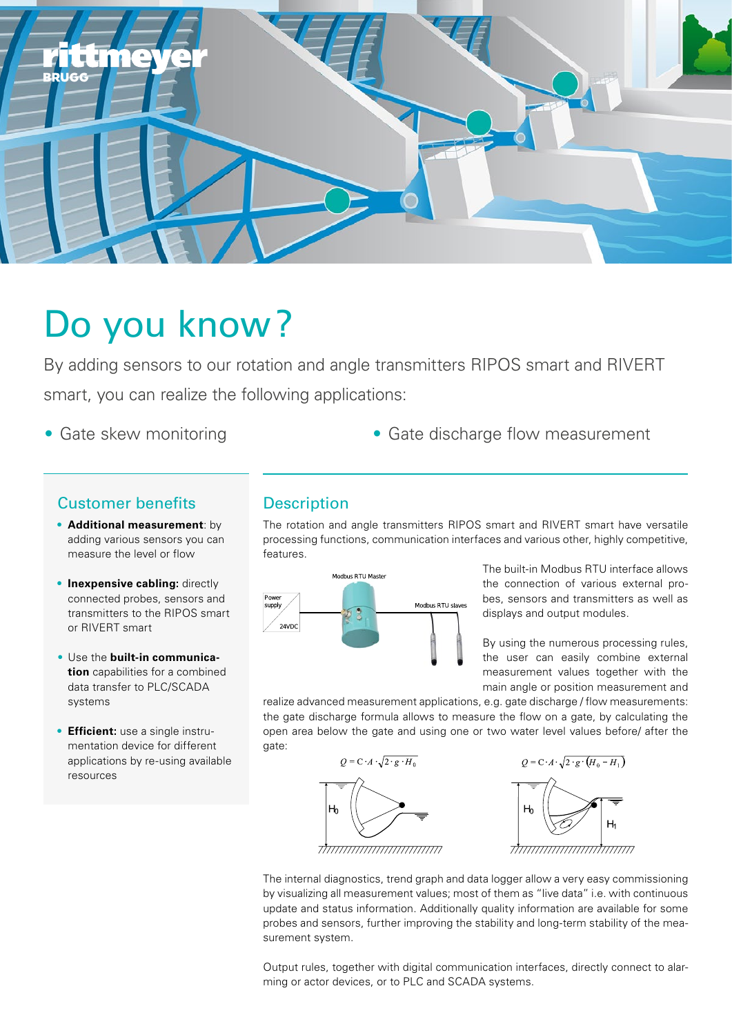

# Do you know ?

By adding sensors to our rotation and angle transmitters RIPOS smart and RIVERT smart, you can realize the following applications:

- 
- Gate skew monitoring example of Gate discharge flow measurement

## Customer benefits

- **• Additional measurement**: by adding various sensors you can measure the level or flow
- **• Inexpensive cabling:** directly connected probes, sensors and transmitters to the RIPOS smart or RIVERT smart
- Use the **built-in communication** capabilities for a combined data transfer to PLC/SCADA systems
- **• Efficient:** use a single instrumentation device for different applications by re-using available resources

# **Description**

The rotation and angle transmitters RIPOS smart and RIVERT smart have versatile processing functions, communication interfaces and various other, highly competitive, features.



The built-in Modbus RTU interface allows the connection of various external probes, sensors and transmitters as well as displays and output modules.

By using the numerous processing rules, the user can easily combine external measurement values together with the main angle or position measurement and

realize advanced measurement applications, e.g. gate discharge / flow measurements: the gate discharge formula allows to measure the flow on a gate, by calculating the open area below the gate and using one or two water level values before/ after the gate:





The internal diagnostics, trend graph and data logger allow a very easy commissioning by visualizing all measurement values; most of them as "live data" i.e. with continuous update and status information. Additionally quality information are available for some probes and sensors, further improving the stability and long-term stability of the measurement system.

Output rules, together with digital communication interfaces, directly connect to alarming or actor devices, or to PLC and SCADA systems.